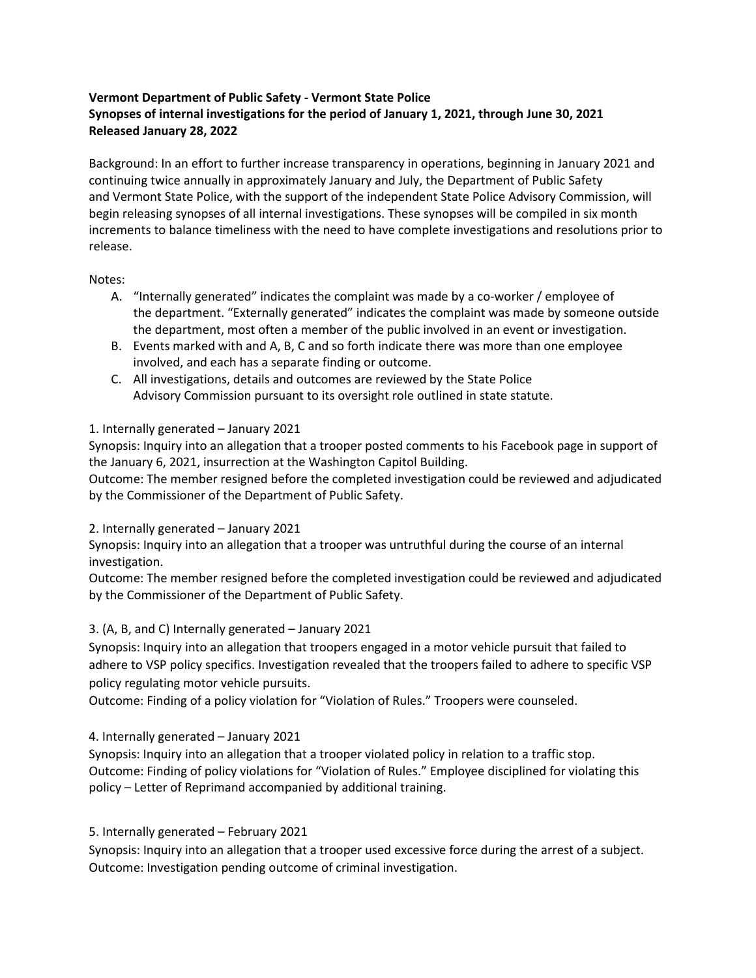# **Vermont Department of Public Safety - Vermont State Police Synopses of internal investigations for the period of January 1, 2021, through June 30, 2021 Released January 28, 2022**

Background: In an effort to further increase transparency in operations, beginning in January 2021 and continuing twice annually in approximately January and July, the Department of Public Safety and Vermont State Police, with the support of the independent State Police Advisory Commission, will begin releasing synopses of all internal investigations. These synopses will be compiled in six month increments to balance timeliness with the need to have complete investigations and resolutions prior to release.

### Notes:

- A. "Internally generated" indicates the complaint was made by a co-worker / employee of the department. "Externally generated" indicates the complaint was made by someone outside the department, most often a member of the public involved in an event or investigation.
- B. Events marked with and A, B, C and so forth indicate there was more than one employee involved, and each has a separate finding or outcome.
- C. All investigations, details and outcomes are reviewed by the State Police Advisory Commission pursuant to its oversight role outlined in state statute.

# 1. Internally generated – January 2021

Synopsis: Inquiry into an allegation that a trooper posted comments to his Facebook page in support of the January 6, 2021, insurrection at the Washington Capitol Building.

Outcome: The member resigned before the completed investigation could be reviewed and adjudicated by the Commissioner of the Department of Public Safety.

# 2. Internally generated – January 2021

Synopsis: Inquiry into an allegation that a trooper was untruthful during the course of an internal investigation.

Outcome: The member resigned before the completed investigation could be reviewed and adjudicated by the Commissioner of the Department of Public Safety.

# 3. (A, B, and C) Internally generated – January 2021

Synopsis: Inquiry into an allegation that troopers engaged in a motor vehicle pursuit that failed to adhere to VSP policy specifics. Investigation revealed that the troopers failed to adhere to specific VSP policy regulating motor vehicle pursuits.

Outcome: Finding of a policy violation for "Violation of Rules." Troopers were counseled.

4. Internally generated – January 2021

Synopsis: Inquiry into an allegation that a trooper violated policy in relation to a traffic stop. Outcome: Finding of policy violations for "Violation of Rules." Employee disciplined for violating this policy – Letter of Reprimand accompanied by additional training.

# 5. Internally generated – February 2021

Synopsis: Inquiry into an allegation that a trooper used excessive force during the arrest of a subject. Outcome: Investigation pending outcome of criminal investigation.